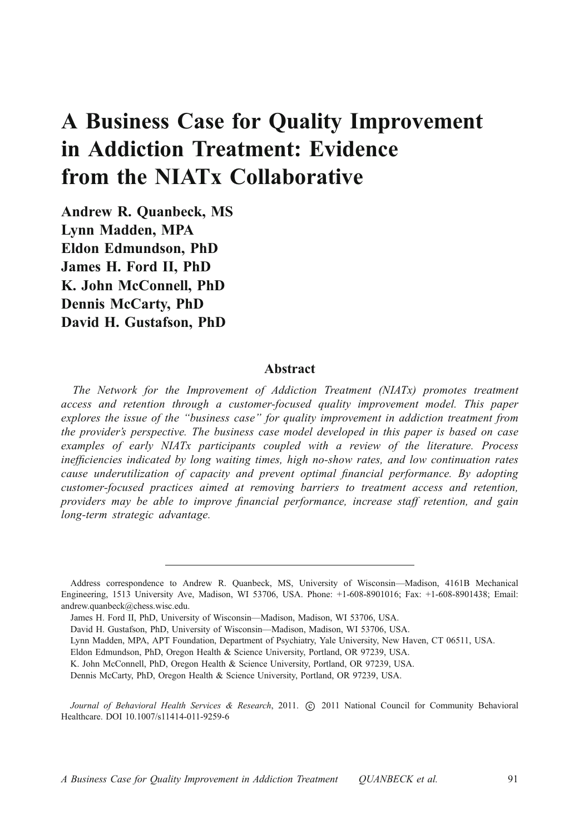# A Business Case for Quality Improvement in Addiction Treatment: Evidence from the NIATx Collaborative

Andrew R. Quanbeck, MS Lynn Madden, MPA Eldon Edmundson, PhD James H. Ford II, PhD K. John McConnell, PhD Dennis McCarty, PhD David H. Gustafson, PhD

# Abstract

The Network for the Improvement of Addiction Treatment (NIATx) promotes treatment access and retention through a customer-focused quality improvement model. This paper explores the issue of the "business case" for quality improvement in addiction treatment from the provider's perspective. The business case model developed in this paper is based on case examples of early NIATx participants coupled with a review of the literature. Process inefficiencies indicated by long waiting times, high no-show rates, and low continuation rates cause underutilization of capacity and prevent optimal financial performance. By adopting customer-focused practices aimed at removing barriers to treatment access and retention, providers may be able to improve financial performance, increase staff retention, and gain long-term strategic advantage.

Journal of Behavioral Health Services & Research, 2011. (c) 2011 National Council for Community Behavioral Healthcare. DOI 10.1007/s11414-011-9259-6

Address correspondence to Andrew R. Quanbeck, MS, University of Wisconsin—Madison, 4161B Mechanical Engineering, 1513 University Ave, Madison, WI 53706, USA. Phone: +1-608-8901016; Fax: +1-608-8901438; Email: andrew.quanbeck@chess.wisc.edu.

James H. Ford II, PhD, University of Wisconsin—Madison, Madison, WI 53706, USA.

David H. Gustafson, PhD, University of Wisconsin—Madison, Madison, WI 53706, USA.

Lynn Madden, MPA, APT Foundation, Department of Psychiatry, Yale University, New Haven, CT 06511, USA.

Eldon Edmundson, PhD, Oregon Health & Science University, Portland, OR 97239, USA.

K. John McConnell, PhD, Oregon Health & Science University, Portland, OR 97239, USA.

Dennis McCarty, PhD, Oregon Health & Science University, Portland, OR 97239, USA.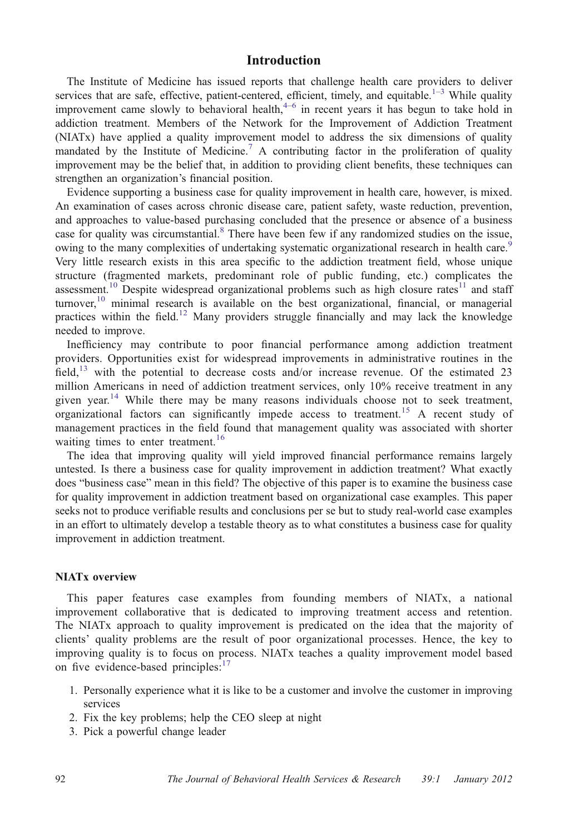## Introduction

The Institute of Medicine has issued reports that challenge health care providers to deliver services that are safe, effective, patient-centered, efficient, timely, and equitable.<sup>[1](#page-8-0)-[3](#page-8-0)</sup> While quality improvement came slowly to behavioral health, $4-6$  $4-6$  $4-6$  in recent years it has begun to take hold in addiction treatment. Members of the Network for the Improvement of Addiction Treatment (NIATx) have applied a quality improvement model to address the six dimensions of quality mandated by the Institute of Medicine.<sup>[7](#page-8-0)</sup> A contributing factor in the proliferation of quality improvement may be the belief that, in addition to providing client benefits, these techniques can strengthen an organization's financial position.

Evidence supporting a business case for quality improvement in health care, however, is mixed. An examination of cases across chronic disease care, patient safety, waste reduction, prevention, and approaches to value-based purchasing concluded that the presence or absence of a business case for quality was circumstantial.<sup>[8](#page-8-0)</sup> There have been few if any randomized studies on the issue, owing to the many complexities of undertaking systematic organizational research in health care.<sup>[9](#page-8-0)</sup> Very little research exists in this area specific to the addiction treatment field, whose unique structure (fragmented markets, predominant role of public funding, etc.) complicates the assessment.<sup>[10](#page-8-0)</sup> Despite widespread organizational problems such as high closure rates<sup>[11](#page-8-0)</sup> and staff turnover,<sup>[10](#page-8-0)</sup> minimal research is available on the best organizational, financial, or managerial practices within the field.<sup>[12](#page-9-0)</sup> Many providers struggle financially and may lack the knowledge needed to improve.

Inefficiency may contribute to poor financial performance among addiction treatment providers. Opportunities exist for widespread improvements in administrative routines in the field, $^{13}$  $^{13}$  $^{13}$  with the potential to decrease costs and/or increase revenue. Of the estimated 23 million Americans in need of addiction treatment services, only 10% receive treatment in any given year.<sup>[14](#page-9-0)</sup> While there may be many reasons individuals choose not to seek treatment, organizational factors can significantly impede access to treatment.<sup>[15](#page-9-0)</sup> A recent study of management practices in the field found that management quality was associated with shorter waiting times to enter treatment.<sup>[16](#page-9-0)</sup>

The idea that improving quality will yield improved financial performance remains largely untested. Is there a business case for quality improvement in addiction treatment? What exactly does "business case" mean in this field? The objective of this paper is to examine the business case for quality improvement in addiction treatment based on organizational case examples. This paper seeks not to produce verifiable results and conclusions per se but to study real-world case examples in an effort to ultimately develop a testable theory as to what constitutes a business case for quality improvement in addiction treatment.

#### NIATx overview

This paper features case examples from founding members of NIATx, a national improvement collaborative that is dedicated to improving treatment access and retention. The NIATx approach to quality improvement is predicated on the idea that the majority of clients' quality problems are the result of poor organizational processes. Hence, the key to improving quality is to focus on process. NIATx teaches a quality improvement model based on five evidence-based principles: $17$ 

- 1. Personally experience what it is like to be a customer and involve the customer in improving services
- 2. Fix the key problems; help the CEO sleep at night
- 3. Pick a powerful change leader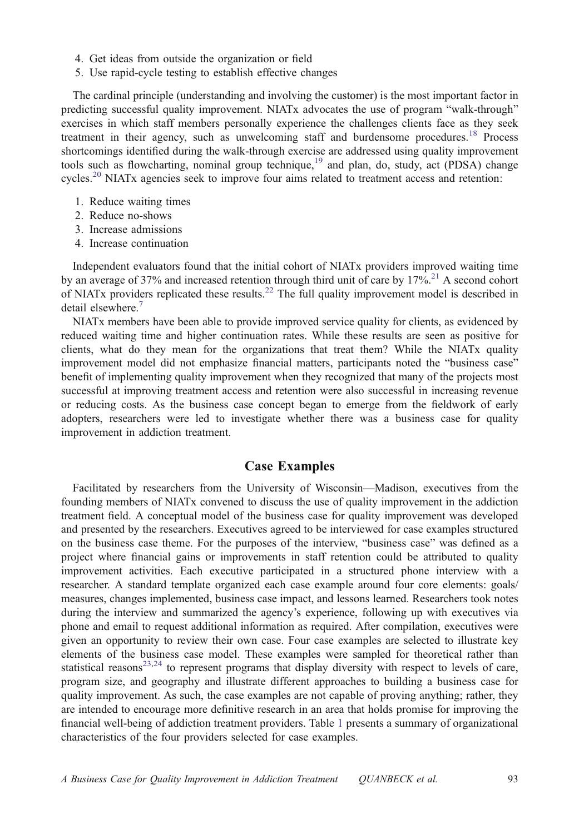- 4. Get ideas from outside the organization or field
- 5. Use rapid-cycle testing to establish effective changes

The cardinal principle (understanding and involving the customer) is the most important factor in predicting successful quality improvement. NIATx advocates the use of program "walk-through" exercises in which staff members personally experience the challenges clients face as they seek treatment in their agency, such as unwelcoming staff and burdensome procedures.<sup>[18](#page-9-0)</sup> Process shortcomings identified during the walk-through exercise are addressed using quality improvement tools such as flowcharting, nominal group technique,<sup>[19](#page-9-0)</sup> and plan, do, study, act (PDSA) change cycles.<sup>[20](#page-9-0)</sup> NIATx agencies seek to improve four aims related to treatment access and retention:

- 1. Reduce waiting times
- 2. Reduce no-shows
- 3. Increase admissions
- 4. Increase continuation

Independent evaluators found that the initial cohort of NIATx providers improved waiting time by an average of 37% and increased retention through third unit of care by  $17\frac{\text{m}}{\text{s}^2}$ . A second cohort of NIATx providers replicated these results.<sup>[22](#page-9-0)</sup> The full quality improvement model is described in detail elsewhere.<sup>[7](#page-8-0)</sup>

NIATx members have been able to provide improved service quality for clients, as evidenced by reduced waiting time and higher continuation rates. While these results are seen as positive for clients, what do they mean for the organizations that treat them? While the NIATx quality improvement model did not emphasize financial matters, participants noted the "business case" benefit of implementing quality improvement when they recognized that many of the projects most successful at improving treatment access and retention were also successful in increasing revenue or reducing costs. As the business case concept began to emerge from the fieldwork of early adopters, researchers were led to investigate whether there was a business case for quality improvement in addiction treatment.

## Case Examples

Facilitated by researchers from the University of Wisconsin—Madison, executives from the founding members of NIATx convened to discuss the use of quality improvement in the addiction treatment field. A conceptual model of the business case for quality improvement was developed and presented by the researchers. Executives agreed to be interviewed for case examples structured on the business case theme. For the purposes of the interview, "business case" was defined as a project where financial gains or improvements in staff retention could be attributed to quality improvement activities. Each executive participated in a structured phone interview with a researcher. A standard template organized each case example around four core elements: goals/ measures, changes implemented, business case impact, and lessons learned. Researchers took notes during the interview and summarized the agency's experience, following up with executives via phone and email to request additional information as required. After compilation, executives were given an opportunity to review their own case. Four case examples are selected to illustrate key elements of the business case model. These examples were sampled for theoretical rather than statistical reasons $23,24$  to represent programs that display diversity with respect to levels of care, program size, and geography and illustrate different approaches to building a business case for quality improvement. As such, the case examples are not capable of proving anything; rather, they are intended to encourage more definitive research in an area that holds promise for improving the financial well-being of addiction treatment providers. Table [1](#page-3-0) presents a summary of organizational characteristics of the four providers selected for case examples.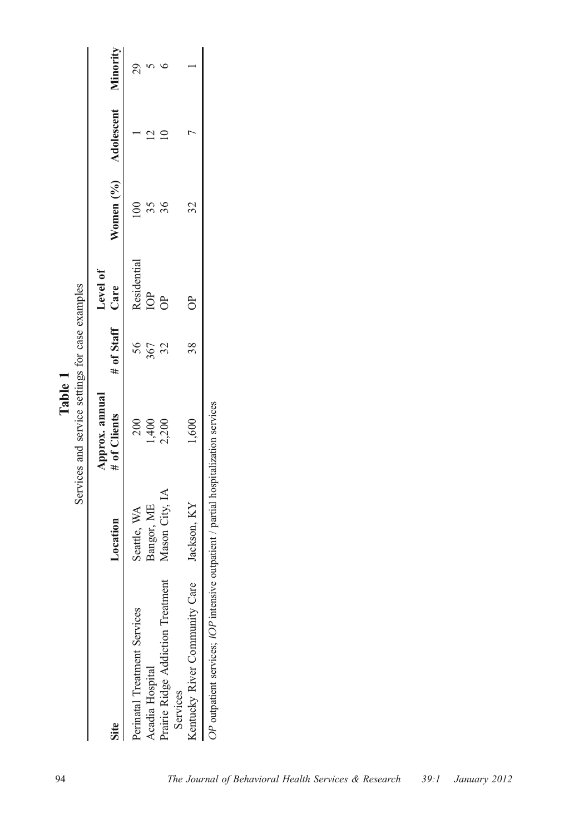<span id="page-3-0"></span>

|                                                                                 |                | Services and service settings for case examples<br>Table 1 |                 |             |                               |  |
|---------------------------------------------------------------------------------|----------------|------------------------------------------------------------|-----------------|-------------|-------------------------------|--|
|                                                                                 |                | Approx. annual                                             |                 | Level of    |                               |  |
| Site                                                                            | Location       | # of Clients                                               | # of Staff Care |             | Women (%) Adolescent Minority |  |
| Perinatal Treatment Services                                                    | Seattle, WA    | 200                                                        | 56              | Residential |                               |  |
| Acadia Hospital                                                                 | Bangor, ME     | .400                                                       | 367             | $\beta$     |                               |  |
| Prairie Ridge Addiction Treatment<br>Services                                   | Mason City, IA | 2,200                                                      |                 | ದಿ          |                               |  |
| Kentucky River Community Care                                                   | Jackson, KY    | 1,600                                                      | 38              | $\epsilon$  | 32                            |  |
| OD outportiont corrigos: IOD intensive outportiont / portiol homination corrigo |                |                                                            |                 |             |                               |  |

OP outpatient services; IOP intensive outpatient / partial hospitalization services OP outpatient services; IOP intensive outpatient / partial hospitalization services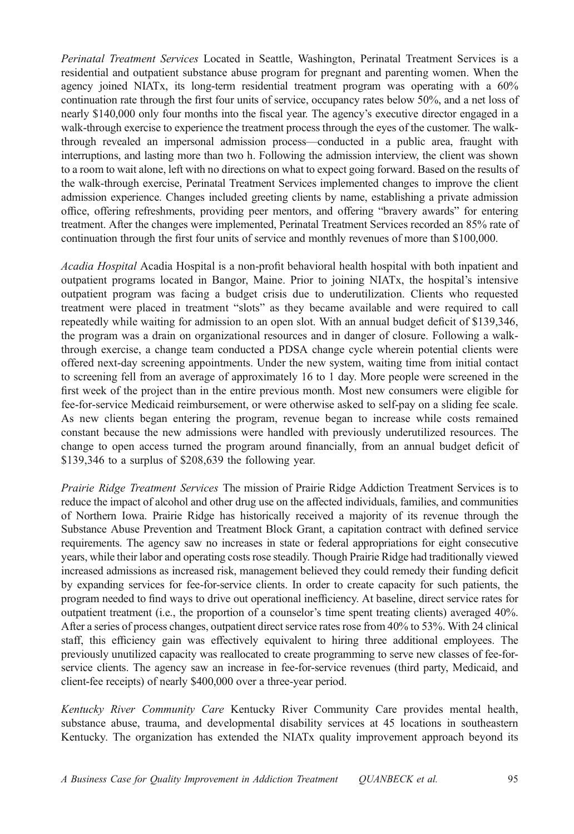Perinatal Treatment Services Located in Seattle, Washington, Perinatal Treatment Services is a residential and outpatient substance abuse program for pregnant and parenting women. When the agency joined NIATx, its long-term residential treatment program was operating with a 60% continuation rate through the first four units of service, occupancy rates below 50%, and a net loss of nearly \$140,000 only four months into the fiscal year. The agency's executive director engaged in a walk-through exercise to experience the treatment process through the eyes of the customer. The walkthrough revealed an impersonal admission process—conducted in a public area, fraught with interruptions, and lasting more than two h. Following the admission interview, the client was shown to a room to wait alone, left with no directions on what to expect going forward. Based on the results of the walk-through exercise, Perinatal Treatment Services implemented changes to improve the client admission experience. Changes included greeting clients by name, establishing a private admission office, offering refreshments, providing peer mentors, and offering "bravery awards" for entering treatment. After the changes were implemented, Perinatal Treatment Services recorded an 85% rate of continuation through the first four units of service and monthly revenues of more than \$100,000.

Acadia Hospital Acadia Hospital is a non-profit behavioral health hospital with both inpatient and outpatient programs located in Bangor, Maine. Prior to joining NIATx, the hospital's intensive outpatient program was facing a budget crisis due to underutilization. Clients who requested treatment were placed in treatment "slots" as they became available and were required to call repeatedly while waiting for admission to an open slot. With an annual budget deficit of \$139,346, the program was a drain on organizational resources and in danger of closure. Following a walkthrough exercise, a change team conducted a PDSA change cycle wherein potential clients were offered next-day screening appointments. Under the new system, waiting time from initial contact to screening fell from an average of approximately 16 to 1 day. More people were screened in the first week of the project than in the entire previous month. Most new consumers were eligible for fee-for-service Medicaid reimbursement, or were otherwise asked to self-pay on a sliding fee scale. As new clients began entering the program, revenue began to increase while costs remained constant because the new admissions were handled with previously underutilized resources. The change to open access turned the program around financially, from an annual budget deficit of \$139,346 to a surplus of \$208,639 the following year.

Prairie Ridge Treatment Services The mission of Prairie Ridge Addiction Treatment Services is to reduce the impact of alcohol and other drug use on the affected individuals, families, and communities of Northern Iowa. Prairie Ridge has historically received a majority of its revenue through the Substance Abuse Prevention and Treatment Block Grant, a capitation contract with defined service requirements. The agency saw no increases in state or federal appropriations for eight consecutive years, while their labor and operating costs rose steadily. Though Prairie Ridge had traditionally viewed increased admissions as increased risk, management believed they could remedy their funding deficit by expanding services for fee-for-service clients. In order to create capacity for such patients, the program needed to find ways to drive out operational inefficiency. At baseline, direct service rates for outpatient treatment (i.e., the proportion of a counselor's time spent treating clients) averaged 40%. After a series of process changes, outpatient direct service rates rose from 40% to 53%. With 24 clinical staff, this efficiency gain was effectively equivalent to hiring three additional employees. The previously unutilized capacity was reallocated to create programming to serve new classes of fee-forservice clients. The agency saw an increase in fee-for-service revenues (third party, Medicaid, and client-fee receipts) of nearly \$400,000 over a three-year period.

Kentucky River Community Care Kentucky River Community Care provides mental health, substance abuse, trauma, and developmental disability services at 45 locations in southeastern Kentucky. The organization has extended the NIATx quality improvement approach beyond its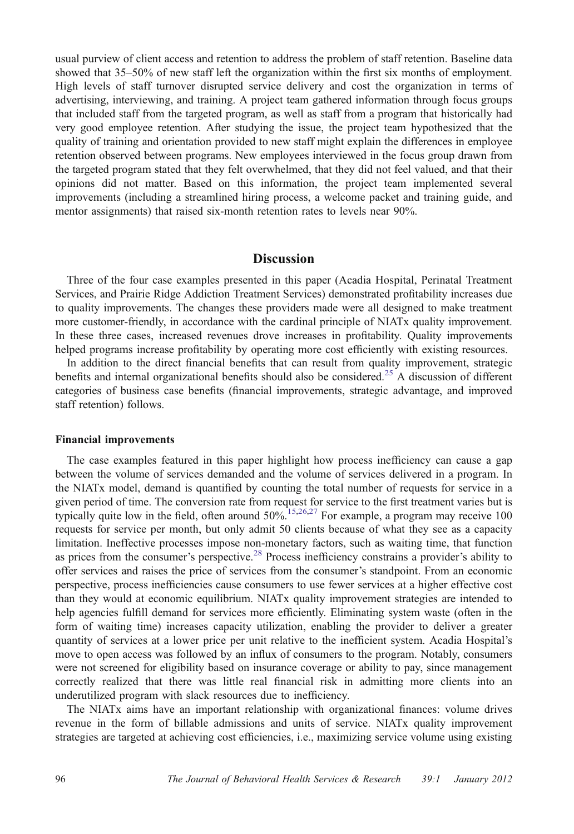usual purview of client access and retention to address the problem of staff retention. Baseline data showed that 35–50% of new staff left the organization within the first six months of employment. High levels of staff turnover disrupted service delivery and cost the organization in terms of advertising, interviewing, and training. A project team gathered information through focus groups that included staff from the targeted program, as well as staff from a program that historically had very good employee retention. After studying the issue, the project team hypothesized that the quality of training and orientation provided to new staff might explain the differences in employee retention observed between programs. New employees interviewed in the focus group drawn from the targeted program stated that they felt overwhelmed, that they did not feel valued, and that their opinions did not matter. Based on this information, the project team implemented several improvements (including a streamlined hiring process, a welcome packet and training guide, and mentor assignments) that raised six-month retention rates to levels near 90%.

## **Discussion**

Three of the four case examples presented in this paper (Acadia Hospital, Perinatal Treatment Services, and Prairie Ridge Addiction Treatment Services) demonstrated profitability increases due to quality improvements. The changes these providers made were all designed to make treatment more customer-friendly, in accordance with the cardinal principle of NIATx quality improvement. In these three cases, increased revenues drove increases in profitability. Quality improvements helped programs increase profitability by operating more cost efficiently with existing resources.

In addition to the direct financial benefits that can result from quality improvement, strategic benefits and internal organizational benefits should also be considered.<sup>[25](#page-9-0)</sup> A discussion of different categories of business case benefits (financial improvements, strategic advantage, and improved staff retention) follows.

#### Financial improvements

The case examples featured in this paper highlight how process inefficiency can cause a gap between the volume of services demanded and the volume of services delivered in a program. In the NIATx model, demand is quantified by counting the total number of requests for service in a given period of time. The conversion rate from request for service to the first treatment varies but is typically quite low in the field, often around  $50\%$ <sup>[15,26,27](#page-9-0)</sup> For example, a program may receive 100 requests for service per month, but only admit 50 clients because of what they see as a capacity limitation. Ineffective processes impose non-monetary factors, such as waiting time, that function as prices from the consumer's perspective.<sup>[28](#page-9-0)</sup> Process inefficiency constrains a provider's ability to offer services and raises the price of services from the consumer's standpoint. From an economic perspective, process inefficiencies cause consumers to use fewer services at a higher effective cost than they would at economic equilibrium. NIATx quality improvement strategies are intended to help agencies fulfill demand for services more efficiently. Eliminating system waste (often in the form of waiting time) increases capacity utilization, enabling the provider to deliver a greater quantity of services at a lower price per unit relative to the inefficient system. Acadia Hospital's move to open access was followed by an influx of consumers to the program. Notably, consumers were not screened for eligibility based on insurance coverage or ability to pay, since management correctly realized that there was little real financial risk in admitting more clients into an underutilized program with slack resources due to inefficiency.

The NIATx aims have an important relationship with organizational finances: volume drives revenue in the form of billable admissions and units of service. NIATx quality improvement strategies are targeted at achieving cost efficiencies, i.e., maximizing service volume using existing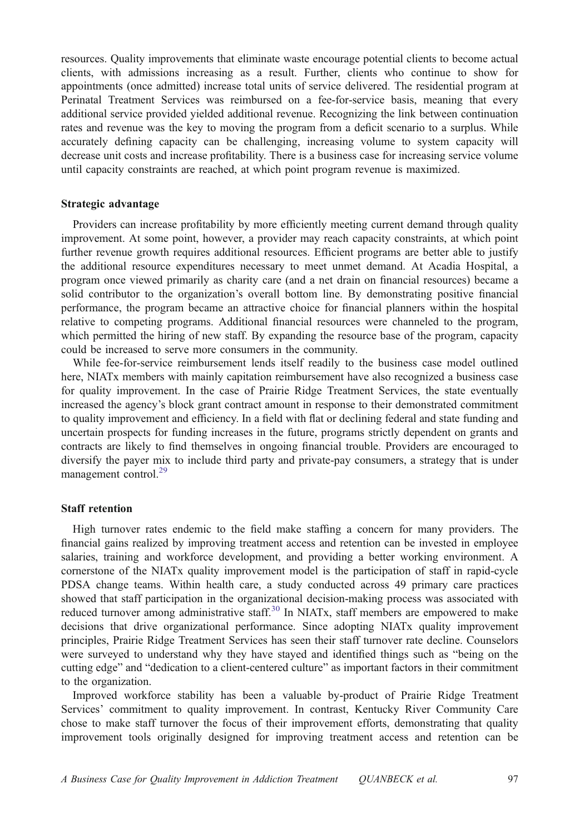resources. Quality improvements that eliminate waste encourage potential clients to become actual clients, with admissions increasing as a result. Further, clients who continue to show for appointments (once admitted) increase total units of service delivered. The residential program at Perinatal Treatment Services was reimbursed on a fee-for-service basis, meaning that every additional service provided yielded additional revenue. Recognizing the link between continuation rates and revenue was the key to moving the program from a deficit scenario to a surplus. While accurately defining capacity can be challenging, increasing volume to system capacity will decrease unit costs and increase profitability. There is a business case for increasing service volume until capacity constraints are reached, at which point program revenue is maximized.

#### Strategic advantage

Providers can increase profitability by more efficiently meeting current demand through quality improvement. At some point, however, a provider may reach capacity constraints, at which point further revenue growth requires additional resources. Efficient programs are better able to justify the additional resource expenditures necessary to meet unmet demand. At Acadia Hospital, a program once viewed primarily as charity care (and a net drain on financial resources) became a solid contributor to the organization's overall bottom line. By demonstrating positive financial performance, the program became an attractive choice for financial planners within the hospital relative to competing programs. Additional financial resources were channeled to the program, which permitted the hiring of new staff. By expanding the resource base of the program, capacity could be increased to serve more consumers in the community.

While fee-for-service reimbursement lends itself readily to the business case model outlined here, NIATx members with mainly capitation reimbursement have also recognized a business case for quality improvement. In the case of Prairie Ridge Treatment Services, the state eventually increased the agency's block grant contract amount in response to their demonstrated commitment to quality improvement and efficiency. In a field with flat or declining federal and state funding and uncertain prospects for funding increases in the future, programs strictly dependent on grants and contracts are likely to find themselves in ongoing financial trouble. Providers are encouraged to diversify the payer mix to include third party and private-pay consumers, a strategy that is under management control.<sup>[29](#page-9-0)</sup>

### Staff retention

High turnover rates endemic to the field make staffing a concern for many providers. The financial gains realized by improving treatment access and retention can be invested in employee salaries, training and workforce development, and providing a better working environment. A cornerstone of the NIATx quality improvement model is the participation of staff in rapid-cycle PDSA change teams. Within health care, a study conducted across 49 primary care practices showed that staff participation in the organizational decision-making process was associated with reduced turnover among administrative staff.<sup>[30](#page-9-0)</sup> In NIATx, staff members are empowered to make decisions that drive organizational performance. Since adopting NIATx quality improvement principles, Prairie Ridge Treatment Services has seen their staff turnover rate decline. Counselors were surveyed to understand why they have stayed and identified things such as "being on the cutting edge" and "dedication to a client-centered culture" as important factors in their commitment to the organization.

Improved workforce stability has been a valuable by-product of Prairie Ridge Treatment Services' commitment to quality improvement. In contrast, Kentucky River Community Care chose to make staff turnover the focus of their improvement efforts, demonstrating that quality improvement tools originally designed for improving treatment access and retention can be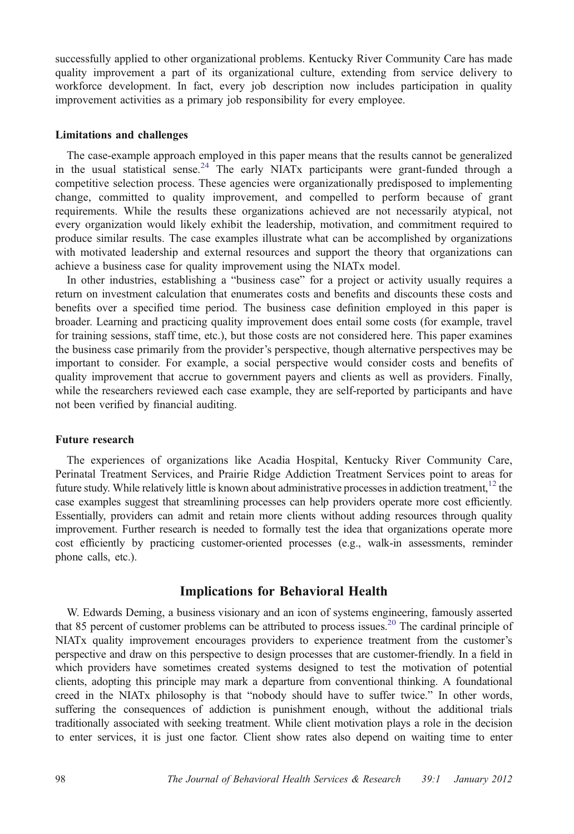successfully applied to other organizational problems. Kentucky River Community Care has made quality improvement a part of its organizational culture, extending from service delivery to workforce development. In fact, every job description now includes participation in quality improvement activities as a primary job responsibility for every employee.

#### Limitations and challenges

The case-example approach employed in this paper means that the results cannot be generalized in the usual statistical sense.<sup>[24](#page-9-0)</sup> The early NIATx participants were grant-funded through a competitive selection process. These agencies were organizationally predisposed to implementing change, committed to quality improvement, and compelled to perform because of grant requirements. While the results these organizations achieved are not necessarily atypical, not every organization would likely exhibit the leadership, motivation, and commitment required to produce similar results. The case examples illustrate what can be accomplished by organizations with motivated leadership and external resources and support the theory that organizations can achieve a business case for quality improvement using the NIATx model.

In other industries, establishing a "business case" for a project or activity usually requires a return on investment calculation that enumerates costs and benefits and discounts these costs and benefits over a specified time period. The business case definition employed in this paper is broader. Learning and practicing quality improvement does entail some costs (for example, travel for training sessions, staff time, etc.), but those costs are not considered here. This paper examines the business case primarily from the provider's perspective, though alternative perspectives may be important to consider. For example, a social perspective would consider costs and benefits of quality improvement that accrue to government payers and clients as well as providers. Finally, while the researchers reviewed each case example, they are self-reported by participants and have not been verified by financial auditing.

#### Future research

The experiences of organizations like Acadia Hospital, Kentucky River Community Care, Perinatal Treatment Services, and Prairie Ridge Addiction Treatment Services point to areas for future study. While relatively little is known about administrative processes in addiction treatment,<sup>12</sup> the case examples suggest that streamlining processes can help providers operate more cost efficiently. Essentially, providers can admit and retain more clients without adding resources through quality improvement. Further research is needed to formally test the idea that organizations operate more cost efficiently by practicing customer-oriented processes (e.g., walk-in assessments, reminder phone calls, etc.).

## Implications for Behavioral Health

W. Edwards Deming, a business visionary and an icon of systems engineering, famously asserted that 85 percent of customer problems can be attributed to process issues[.20](#page-9-0) The cardinal principle of NIATx quality improvement encourages providers to experience treatment from the customer's perspective and draw on this perspective to design processes that are customer-friendly. In a field in which providers have sometimes created systems designed to test the motivation of potential clients, adopting this principle may mark a departure from conventional thinking. A foundational creed in the NIATx philosophy is that "nobody should have to suffer twice." In other words, suffering the consequences of addiction is punishment enough, without the additional trials traditionally associated with seeking treatment. While client motivation plays a role in the decision to enter services, it is just one factor. Client show rates also depend on waiting time to enter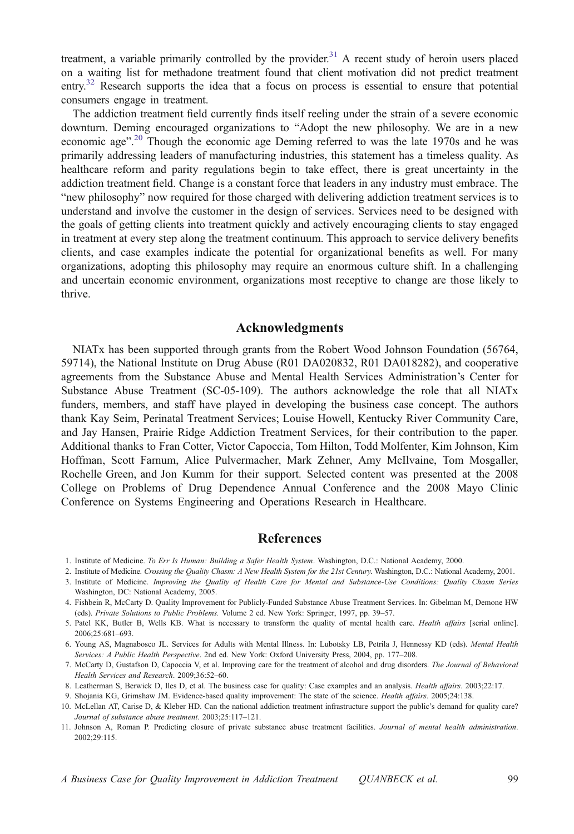<span id="page-8-0"></span>treatment, a variable primarily controlled by the provider.<sup>31</sup> A recent study of heroin users placed on a waiting list for methadone treatment found that client motivation did not predict treatment entry.<sup>32</sup> Research supports the idea that a focus on process is essential to ensure that potential consumers engage in treatment.

The addiction treatment field currently finds itself reeling under the strain of a severe economic downturn. Deming encouraged organizations to "Adopt the new philosophy. We are in a new economic age".<sup>[20](#page-9-0)</sup> Though the economic age Deming referred to was the late 1970s and he was primarily addressing leaders of manufacturing industries, this statement has a timeless quality. As healthcare reform and parity regulations begin to take effect, there is great uncertainty in the addiction treatment field. Change is a constant force that leaders in any industry must embrace. The "new philosophy" now required for those charged with delivering addiction treatment services is to understand and involve the customer in the design of services. Services need to be designed with the goals of getting clients into treatment quickly and actively encouraging clients to stay engaged in treatment at every step along the treatment continuum. This approach to service delivery benefits clients, and case examples indicate the potential for organizational benefits as well. For many organizations, adopting this philosophy may require an enormous culture shift. In a challenging and uncertain economic environment, organizations most receptive to change are those likely to thrive.

## Acknowledgments

NIATx has been supported through grants from the Robert Wood Johnson Foundation (56764, 59714), the National Institute on Drug Abuse (R01 DA020832, R01 DA018282), and cooperative agreements from the Substance Abuse and Mental Health Services Administration's Center for Substance Abuse Treatment (SC-05-109). The authors acknowledge the role that all NIATx funders, members, and staff have played in developing the business case concept. The authors thank Kay Seim, Perinatal Treatment Services; Louise Howell, Kentucky River Community Care, and Jay Hansen, Prairie Ridge Addiction Treatment Services, for their contribution to the paper. Additional thanks to Fran Cotter, Victor Capoccia, Tom Hilton, Todd Molfenter, Kim Johnson, Kim Hoffman, Scott Farnum, Alice Pulvermacher, Mark Zehner, Amy McIlvaine, Tom Mosgaller, Rochelle Green, and Jon Kumm for their support. Selected content was presented at the 2008 College on Problems of Drug Dependence Annual Conference and the 2008 Mayo Clinic Conference on Systems Engineering and Operations Research in Healthcare.

# **References**

- 1. Institute of Medicine. To Err Is Human: Building a Safer Health System. Washington, D.C.: National Academy, 2000.
- 2. Institute of Medicine. Crossing the Quality Chasm: A New Health System for the 21st Century. Washington, D.C.: National Academy, 2001.
- 3. Institute of Medicine. Improving the Quality of Health Care for Mental and Substance-Use Conditions: Quality Chasm Series Washington, DC: National Academy, 2005.
- 4. Fishbein R, McCarty D. Quality Improvement for Publicly-Funded Substance Abuse Treatment Services. In: Gibelman M, Demone HW (eds). Private Solutions to Public Problems. Volume 2 ed. New York: Springer, 1997, pp. 39–57.
- 5. Patel KK, Butler B, Wells KB. What is necessary to transform the quality of mental health care. Health affairs [serial online]. 2006;25:681–693.
- 6. Young AS, Magnabosco JL. Services for Adults with Mental Illness. In: Lubotsky LB, Petrila J, Hennessy KD (eds). Mental Health Services: A Public Health Perspective. 2nd ed. New York: Oxford University Press, 2004, pp. 177–208.
- 7. McCarty D, Gustafson D, Capoccia V, et al. Improving care for the treatment of alcohol and drug disorders. The Journal of Behavioral Health Services and Research. 2009;36:52–60.
- 8. Leatherman S, Berwick D, Iles D, et al. The business case for quality: Case examples and an analysis. Health affairs. 2003;22:17.
- 9. Shojania KG, Grimshaw JM. Evidence-based quality improvement: The state of the science. Health affairs. 2005;24:138.
- 10. McLellan AT, Carise D, & Kleber HD. Can the national addiction treatment infrastructure support the public's demand for quality care? Journal of substance abuse treatment. 2003;25:117–121.
- 11. Johnson A, Roman P. Predicting closure of private substance abuse treatment facilities. Journal of mental health administration. 2002;29:115.